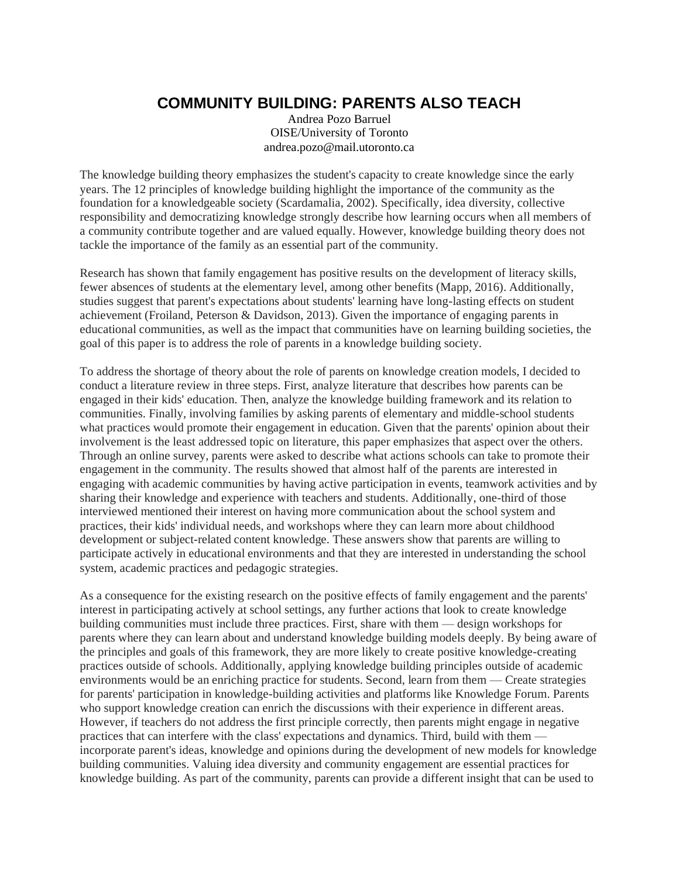## **COMMUNITY BUILDING: PARENTS ALSO TEACH**

Andrea Pozo Barruel OISE/University of Toronto andrea.pozo@mail.utoronto.ca

The knowledge building theory emphasizes the student's capacity to create knowledge since the early years. The 12 principles of knowledge building highlight the importance of the community as the foundation for a knowledgeable society (Scardamalia, 2002). Specifically, idea diversity, collective responsibility and democratizing knowledge strongly describe how learning occurs when all members of a community contribute together and are valued equally. However, knowledge building theory does not tackle the importance of the family as an essential part of the community.

Research has shown that family engagement has positive results on the development of literacy skills, fewer absences of students at the elementary level, among other benefits (Mapp, 2016). Additionally, studies suggest that parent's expectations about students' learning have long-lasting effects on student achievement (Froiland, Peterson & Davidson, 2013). Given the importance of engaging parents in educational communities, as well as the impact that communities have on learning building societies, the goal of this paper is to address the role of parents in a knowledge building society.

To address the shortage of theory about the role of parents on knowledge creation models, I decided to conduct a literature review in three steps. First, analyze literature that describes how parents can be engaged in their kids' education. Then, analyze the knowledge building framework and its relation to communities. Finally, involving families by asking parents of elementary and middle-school students what practices would promote their engagement in education. Given that the parents' opinion about their involvement is the least addressed topic on literature, this paper emphasizes that aspect over the others. Through an online survey, parents were asked to describe what actions schools can take to promote their engagement in the community. The results showed that almost half of the parents are interested in engaging with academic communities by having active participation in events, teamwork activities and by sharing their knowledge and experience with teachers and students. Additionally, one-third of those interviewed mentioned their interest on having more communication about the school system and practices, their kids' individual needs, and workshops where they can learn more about childhood development or subject-related content knowledge. These answers show that parents are willing to participate actively in educational environments and that they are interested in understanding the school system, academic practices and pedagogic strategies.

As a consequence for the existing research on the positive effects of family engagement and the parents' interest in participating actively at school settings, any further actions that look to create knowledge building communities must include three practices. First, share with them — design workshops for parents where they can learn about and understand knowledge building models deeply. By being aware of the principles and goals of this framework, they are more likely to create positive knowledge-creating practices outside of schools. Additionally, applying knowledge building principles outside of academic environments would be an enriching practice for students. Second, learn from them — Create strategies for parents' participation in knowledge-building activities and platforms like Knowledge Forum. Parents who support knowledge creation can enrich the discussions with their experience in different areas. However, if teachers do not address the first principle correctly, then parents might engage in negative practices that can interfere with the class' expectations and dynamics. Third, build with them incorporate parent's ideas, knowledge and opinions during the development of new models for knowledge building communities. Valuing idea diversity and community engagement are essential practices for knowledge building. As part of the community, parents can provide a different insight that can be used to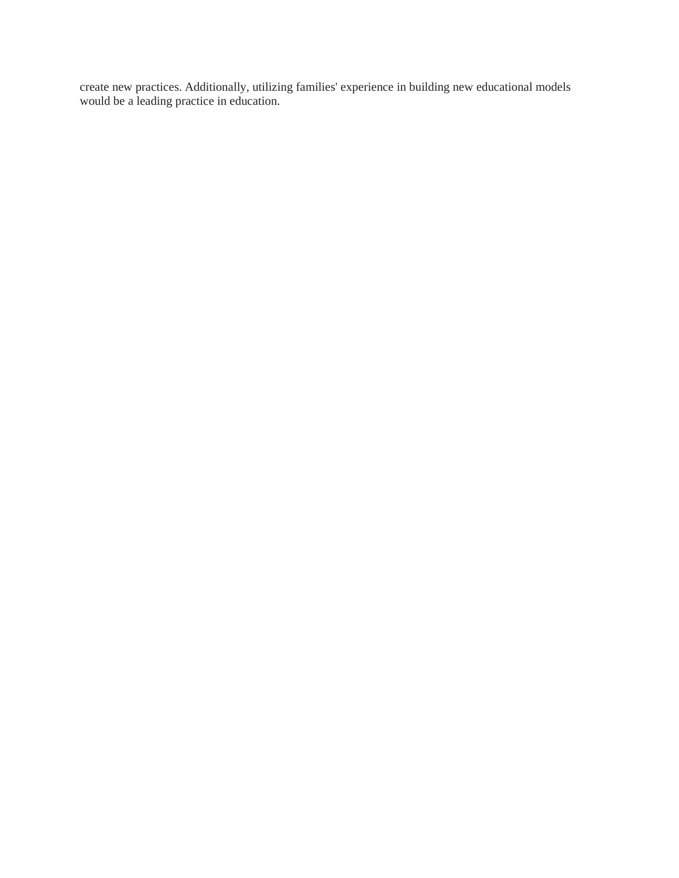create new practices. Additionally, utilizing families' experience in building new educational models would be a leading practice in education.